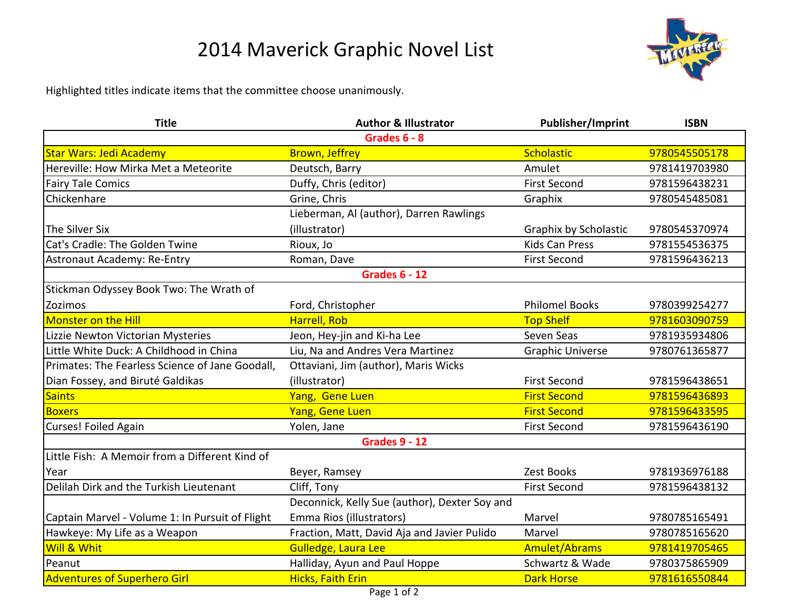## 2014 Maverick Graphic Novel List



Highlighted titles indicate items that the committee choose unanimously.

| <b>Title</b>                                    | <b>Author &amp; Illustrator</b>               | <b>Publisher/Imprint</b> | <b>ISBN</b>   |  |
|-------------------------------------------------|-----------------------------------------------|--------------------------|---------------|--|
|                                                 | Grades 6 - 8                                  |                          |               |  |
| <b>Star Wars: Jedi Academy</b>                  | <b>Brown, Jeffrey</b>                         | Scholastic               | 9780545505178 |  |
| Hereville: How Mirka Met a Meteorite            | Deutsch, Barry                                | Amulet                   | 9781419703980 |  |
| <b>Fairy Tale Comics</b>                        | Duffy, Chris (editor)                         | <b>First Second</b>      | 9781596438231 |  |
| Chickenhare                                     | Grine, Chris                                  | Graphix                  | 9780545485081 |  |
|                                                 | Lieberman, Al (author), Darren Rawlings       |                          |               |  |
| The Silver Six                                  | (illustrator)                                 | Graphix by Scholastic    | 9780545370974 |  |
| Cat's Cradle: The Golden Twine                  | Rioux, Jo                                     | <b>Kids Can Press</b>    | 9781554536375 |  |
| Astronaut Academy: Re-Entry                     | Roman, Dave                                   | <b>First Second</b>      | 9781596436213 |  |
| <b>Grades 6 - 12</b>                            |                                               |                          |               |  |
| Stickman Odyssey Book Two: The Wrath of         |                                               |                          |               |  |
| Zozimos                                         | Ford, Christopher                             | <b>Philomel Books</b>    | 9780399254277 |  |
| <b>Monster on the Hill</b>                      | Harrell, Rob                                  | <b>Top Shelf</b>         | 9781603090759 |  |
| Lizzie Newton Victorian Mysteries               | Jeon, Hey-jin and Ki-ha Lee                   | Seven Seas               | 9781935934806 |  |
| Little White Duck: A Childhood in China         | Liu, Na and Andres Vera Martinez              | <b>Graphic Universe</b>  | 9780761365877 |  |
| Primates: The Fearless Science of Jane Goodall, | Ottaviani, Jim (author), Maris Wicks          |                          |               |  |
| Dian Fossey, and Biruté Galdikas                | (illustrator)                                 | <b>First Second</b>      | 9781596438651 |  |
| <b>Saints</b>                                   | Yang, Gene Luen                               | <b>First Second</b>      | 9781596436893 |  |
| <b>Boxers</b>                                   | Yang, Gene Luen                               | <b>First Second</b>      | 9781596433595 |  |
| Curses! Foiled Again                            | Yolen, Jane                                   | <b>First Second</b>      | 9781596436190 |  |
| <b>Grades 9 - 12</b>                            |                                               |                          |               |  |
| Little Fish: A Memoir from a Different Kind of  |                                               |                          |               |  |
| Year                                            | Beyer, Ramsey                                 | Zest Books               | 9781936976188 |  |
| Delilah Dirk and the Turkish Lieutenant         | Cliff, Tony                                   | <b>First Second</b>      | 9781596438132 |  |
|                                                 | Deconnick, Kelly Sue (author), Dexter Soy and |                          |               |  |
| Captain Marvel - Volume 1: In Pursuit of Flight | Emma Rios (illustrators)                      | Marvel                   | 9780785165491 |  |
| Hawkeye: My Life as a Weapon                    | Fraction, Matt, David Aja and Javier Pulido   | Marvel                   | 9780785165620 |  |
| <b>Will &amp; Whit</b>                          | Gulledge, Laura Lee                           | <b>Amulet/Abrams</b>     | 9781419705465 |  |
| Peanut                                          | Halliday, Ayun and Paul Hoppe                 | Schwartz & Wade          | 9780375865909 |  |
| <b>Adventures of Superhero Girl</b>             | <b>Hicks, Faith Erin</b>                      | <b>Dark Horse</b>        | 9781616550844 |  |